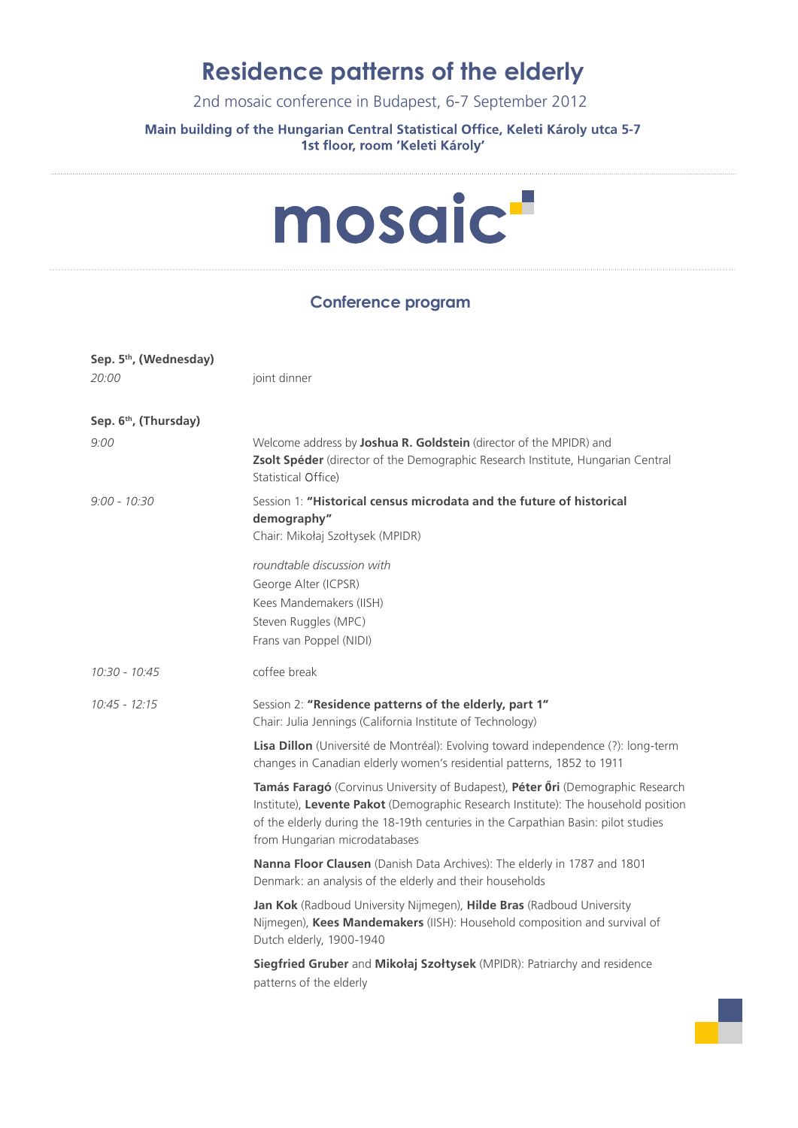### **Residence patterns of the elderly**

2nd mosaic conference in Budapest, 6-7 September 2012

#### **Main building of the Hungarian Central Statistical Office, Keleti Károly utca 5-7** 1st floor, room 'Keleti Károly'



### **Conference program**

| Sep. 5th, (Wednesday)             |                                                                                                                                                                                                                                                                                              |
|-----------------------------------|----------------------------------------------------------------------------------------------------------------------------------------------------------------------------------------------------------------------------------------------------------------------------------------------|
| 20:00                             | joint dinner                                                                                                                                                                                                                                                                                 |
| Sep. 6 <sup>th</sup> , (Thursday) |                                                                                                                                                                                                                                                                                              |
| 9:00                              | Welcome address by Joshua R. Goldstein (director of the MPIDR) and<br>Zsolt Spéder (director of the Demographic Research Institute, Hungarian Central<br>Statistical Office)                                                                                                                 |
| $9:00 - 10:30$                    | Session 1: "Historical census microdata and the future of historical<br>demography"<br>Chair: Mikołaj Szołtysek (MPIDR)                                                                                                                                                                      |
|                                   | roundtable discussion with<br>George Alter (ICPSR)<br>Kees Mandemakers (IISH)<br>Steven Ruggles (MPC)<br>Frans van Poppel (NIDI)                                                                                                                                                             |
| $10:30 - 10:45$                   | coffee break                                                                                                                                                                                                                                                                                 |
| $10:45 - 12:15$                   | Session 2: "Residence patterns of the elderly, part 1"<br>Chair: Julia Jennings (California Institute of Technology)                                                                                                                                                                         |
|                                   | Lisa Dillon (Université de Montréal): Evolving toward independence (?): long-term<br>changes in Canadian elderly women's residential patterns, 1852 to 1911                                                                                                                                  |
|                                   | Tamás Faragó (Corvinus University of Budapest), Péter Őri (Demographic Research<br>Institute), Levente Pakot (Demographic Research Institute): The household position<br>of the elderly during the 18-19th centuries in the Carpathian Basin: pilot studies<br>from Hungarian microdatabases |
|                                   | Nanna Floor Clausen (Danish Data Archives): The elderly in 1787 and 1801<br>Denmark: an analysis of the elderly and their households                                                                                                                                                         |
|                                   | Jan Kok (Radboud University Nijmegen), Hilde Bras (Radboud University<br>Nijmegen), Kees Mandemakers (IISH): Household composition and survival of<br>Dutch elderly, 1900-1940                                                                                                               |
|                                   | Siegfried Gruber and Mikołaj Szołtysek (MPIDR): Patriarchy and residence<br>patterns of the elderly                                                                                                                                                                                          |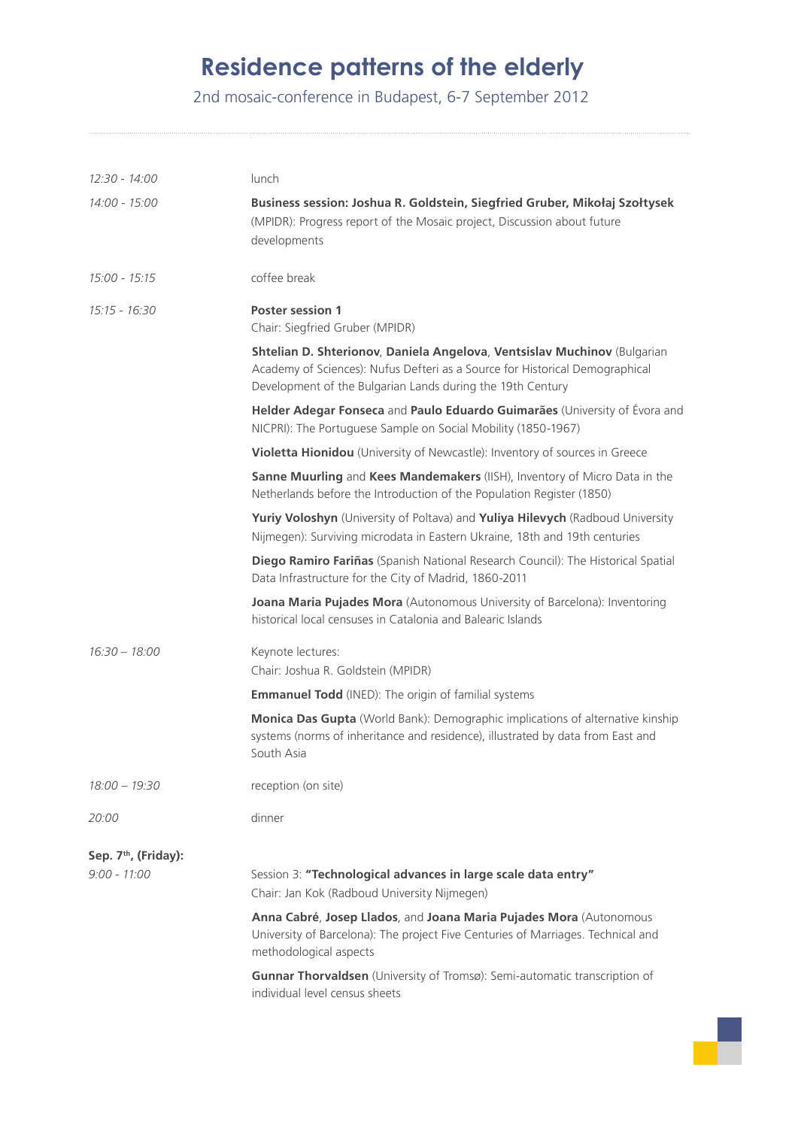# **Residence patterns of the elderly**

2nd mosaic-conference in Budapest, 6-7 September 2012

| 12:30 - 14:00                    | lunch                                                                                                                                                                                                                  |
|----------------------------------|------------------------------------------------------------------------------------------------------------------------------------------------------------------------------------------------------------------------|
| 14:00 - 15:00                    | Business session: Joshua R. Goldstein, Siegfried Gruber, Mikołaj Szołtysek<br>(MPIDR): Progress report of the Mosaic project, Discussion about future<br>developments                                                  |
| 15:00 - 15:15                    | coffee break                                                                                                                                                                                                           |
| $15:15 - 16:30$                  | <b>Poster session 1</b><br>Chair: Siegfried Gruber (MPIDR)                                                                                                                                                             |
|                                  | Shtelian D. Shterionov, Daniela Angelova, Ventsislav Muchinov (Bulgarian<br>Academy of Sciences): Nufus Defteri as a Source for Historical Demographical<br>Development of the Bulgarian Lands during the 19th Century |
|                                  | Helder Adegar Fonseca and Paulo Eduardo Guimarães (University of Évora and<br>NICPRI): The Portuguese Sample on Social Mobility (1850-1967)                                                                            |
|                                  | Violetta Hionidou (University of Newcastle): Inventory of sources in Greece                                                                                                                                            |
|                                  | Sanne Muurling and Kees Mandemakers (IISH), Inventory of Micro Data in the<br>Netherlands before the Introduction of the Population Register (1850)                                                                    |
|                                  | Yuriy Voloshyn (University of Poltava) and Yuliya Hilevych (Radboud University<br>Nijmegen): Surviving microdata in Eastern Ukraine, 18th and 19th centuries                                                           |
|                                  | Diego Ramiro Fariñas (Spanish National Research Council): The Historical Spatial<br>Data Infrastructure for the City of Madrid, 1860-2011                                                                              |
|                                  | Joana Maria Pujades Mora (Autonomous University of Barcelona): Inventoring<br>historical local censuses in Catalonia and Balearic Islands                                                                              |
| $16:30 - 18:00$                  | Keynote lectures:<br>Chair: Joshua R. Goldstein (MPIDR)                                                                                                                                                                |
|                                  | <b>Emmanuel Todd</b> (INED): The origin of familial systems                                                                                                                                                            |
|                                  | Monica Das Gupta (World Bank): Demographic implications of alternative kinship<br>systems (norms of inheritance and residence), illustrated by data from East and<br>South Asia                                        |
| $18:00 - 19:30$                  | reception (on site)                                                                                                                                                                                                    |
| 20:00                            | dinner                                                                                                                                                                                                                 |
| Sep. 7 <sup>th</sup> , (Friday): |                                                                                                                                                                                                                        |
| $9:00 - 11:00$                   | Session 3: "Technological advances in large scale data entry"<br>Chair: Jan Kok (Radboud University Nijmegen)                                                                                                          |
|                                  | Anna Cabré, Josep Llados, and Joana Maria Pujades Mora (Autonomous<br>University of Barcelona): The project Five Centuries of Marriages. Technical and<br>methodological aspects                                       |
|                                  | Gunnar Thorvaldsen (University of Tromsø): Semi-automatic transcription of<br>individual level census sheets                                                                                                           |